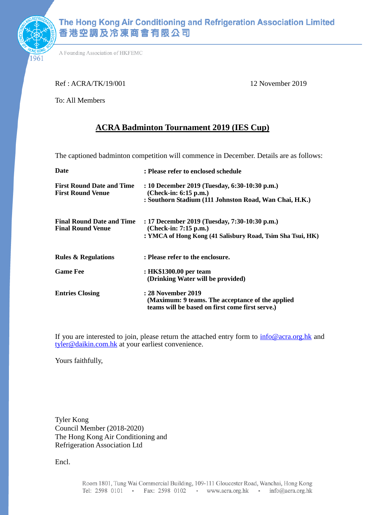

1961

A Founding Association of HKFEMC

#### Ref : ACRA/TK/19/001 12 November 2019

To: All Members

### **ACRA Badminton Tournament 2019 (IES Cup)**

The captioned badminton competition will commence in December. Details are as follows:

| Date                                                         | : Please refer to enclosed schedule                                                                                                  |
|--------------------------------------------------------------|--------------------------------------------------------------------------------------------------------------------------------------|
| <b>First Round Date and Time</b><br><b>First Round Venue</b> | : 10 December 2019 (Tuesday, 6:30-10:30 p.m.)<br>$(Check-in: 6:15 p.m.)$<br>: Southorn Stadium (111 Johnston Road, Wan Chai, H.K.)   |
| <b>Final Round Date and Time</b><br><b>Final Round Venue</b> | : 17 December 2019 (Tuesday, 7:30-10:30 p.m.)<br>(Check-in: 7:15 p.m.)<br>: YMCA of Hong Kong (41 Salisbury Road, Tsim Sha Tsui, HK) |
| <b>Rules &amp; Regulations</b>                               | : Please refer to the enclosure.                                                                                                     |
| <b>Game Fee</b>                                              | : HK\$1300.00 per team<br>(Drinking Water will be provided)                                                                          |
| <b>Entries Closing</b>                                       | : 28 November 2019<br>(Maximum: 9 teams. The acceptance of the applied<br>teams will be based on first come first serve.)            |

If you are interested to join, please return the attached entry form to  $\frac{info@acra.org.hk}{info@acra.org.hk}$  and tyler@daikin.com.hk at your earliest convenience.

Yours faithfully,

Tyler Kong Council Member (2018-2020) The Hong Kong Air Conditioning and Refrigeration Association Ltd

Encl.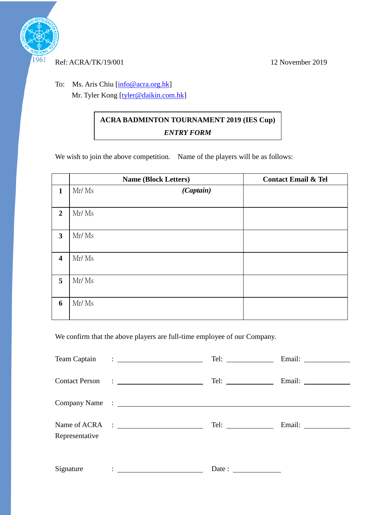

#### Ref: ACRA/TK/19/001 12 November 2019

To: Ms. Aris Chiu [\[info@acra.org.hk\]](mailto:info@acra.org.hk) Mr. Tyler Kong [tyler@daikin.com.hk]

## **ACRA BADMINTON TOURNAMENT 2019 (IES Cup)** *ENTRY FORM*

We wish to join the above competition. Name of the players will be as follows:

|                         | <b>Name (Block Letters)</b> | <b>Contact Email &amp; Tel</b> |
|-------------------------|-----------------------------|--------------------------------|
| $\mathbf{1}$            | (Captain)<br>Mr/Ms          |                                |
| $\overline{2}$          | Mr/Ms                       |                                |
| $\mathbf{3}$            | Mr/Ms                       |                                |
| $\overline{\mathbf{4}}$ | Mr/Ms                       |                                |
| 5                       | Mr/Ms                       |                                |
| 6                       | Mr/Ms                       |                                |

We confirm that the above players are full-time employee of our Company.

| Representative | Name of ACRA :                                                                                                         | Tel: $\qquad \qquad$                                     |  |
|----------------|------------------------------------------------------------------------------------------------------------------------|----------------------------------------------------------|--|
| Signature      | <u>in the community of the community of the community of the community of the community of the community of the co</u> | Date: $\frac{1}{\sqrt{1-\frac{1}{2}} \cdot \frac{1}{2}}$ |  |